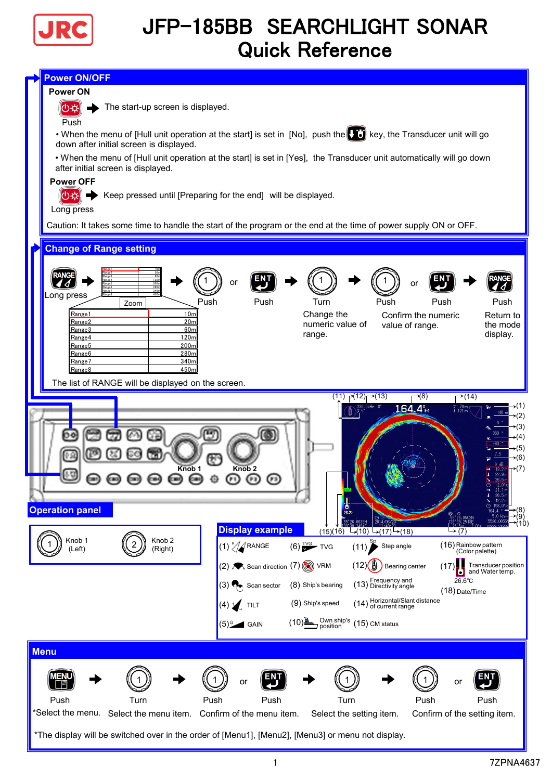

## JFP-185BB SEARCHLIGHT SONAR Quick Reference